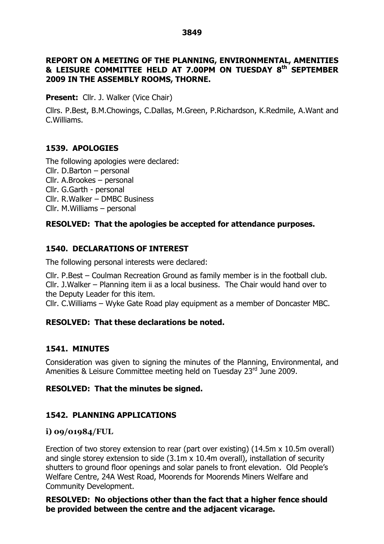#### **REPORT ON A MEETING OF THE PLANNING, ENVIRONMENTAL, AMENITIES & LEISURE COMMITTEE HELD AT 7.00PM ON TUESDAY 8 th SEPTEMBER 2009 IN THE ASSEMBLY ROOMS, THORNE.**

**Present:** Cllr. J. Walker (Vice Chair)

Cllrs. P.Best, B.M.Chowings, C.Dallas, M.Green, P.Richardson, K.Redmile, A.Want and C.Williams.

## **1539. APOLOGIES**

The following apologies were declared: Cllr. D.Barton – personal Cllr. A.Brookes  $-$  personal Cllr. G.Garth - personal Cllr. R.Walker – DMBC Business  $Clr.$  M. Williams – personal

### **RESOLVED: That the apologies be accepted for attendance purposes.**

# **1540. DECLARATIONS OF INTEREST**

The following personal interests were declared:

Cllr. P.Best –Coulman Recreation Ground as family member is in the football club. Cllr. J. Walker – Planning item ii as a local business. The Chair would hand over to the Deputy Leader for this item.

Cllr. C.Williams –Wyke Gate Road play equipment as a member of Doncaster MBC.

## **RESOLVED: That these declarations be noted.**

## **1541. MINUTES**

Consideration was given to signing the minutes of the Planning, Environmental, and Amenities & Leisure Committee meeting held on Tuesday 23rd June 2009.

## **RESOLVED: That the minutes be signed.**

## **1542. PLANNING APPLICATIONS**

#### **i) 09/01984/FUL**

Erection of two storey extension to rear (part over existing) (14.5m x 10.5m overall) and single storey extension to side (3.1m x 10.4m overall), installation of security shutters to ground floor openings and solar panels to front elevation. Old People's Welfare Centre, 24A West Road, Moorends for Moorends Miners Welfare and Community Development.

**RESOLVED: No objections other than the fact that a higher fence should be provided between the centre and the adjacent vicarage.**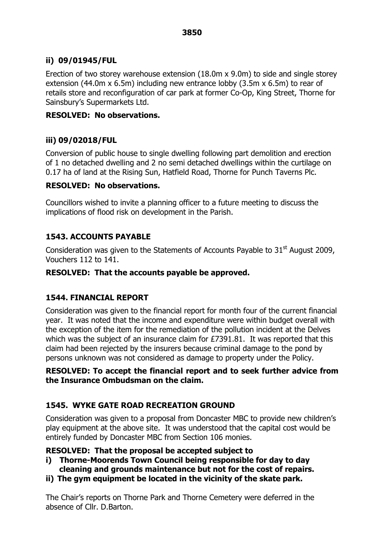# **ii) 09/01945/FUL**

Erection of two storey warehouse extension (18.0m x 9.0m) to side and single storey extension (44.0m x 6.5m) including new entrance lobby (3.5m x 6.5m) to rear of retails store and reconfiguration of car park at former Co-Op, King Street, Thorne for Sainsbury's Supermarkets Ltd.

### **RESOLVED: No observations.**

# **iii) 09/02018/FUL**

Conversion of public house to single dwelling following part demolition and erection of 1 no detached dwelling and 2 no semi detached dwellings within the curtilage on 0.17 ha of land at the Rising Sun, Hatfield Road, Thorne for Punch Taverns Plc.

### **RESOLVED: No observations.**

Councillors wished to invite a planning officer to a future meeting to discuss the implications of flood risk on development in the Parish.

# **1543. ACCOUNTS PAYABLE**

Consideration was given to the Statements of Accounts Payable to 31 $^{\rm st}$  August 2009, Vouchers 112 to 141.

### **RESOLVED: That the accounts payable be approved.**

## **1544. FINANCIAL REPORT**

Consideration was given to the financial report for month four of the current financial year. It was noted that the income and expenditure were within budget overall with the exception of the item for the remediation of the pollution incident at the Delves which was the subject of an insurance claim for £7391.81. It was reported that this claim had been rejected by the insurers because criminal damage to the pond by persons unknown was not considered as damage to property under the Policy.

#### **RESOLVED: To accept the financial report and to seek further advice from the Insurance Ombudsman on the claim.**

## **1545. WYKE GATE ROAD RECREATION GROUND**

Consideration was given to a proposal from Doncaster MBC to provide new children's play equipment at the above site. It was understood that the capital cost would be entirely funded by Doncaster MBC from Section 106 monies.

#### **RESOLVED: That the proposal be accepted subject to**

- **i) Thorne-Moorends Town Council being responsible for day to day cleaning and grounds maintenance but not for the cost of repairs.**
- **ii) The gym equipment be located in the vicinity of the skate park.**

The Chair's reports on Thorne Park and Thorne Cemetery were deferred in the absence of Cllr. D.Barton.